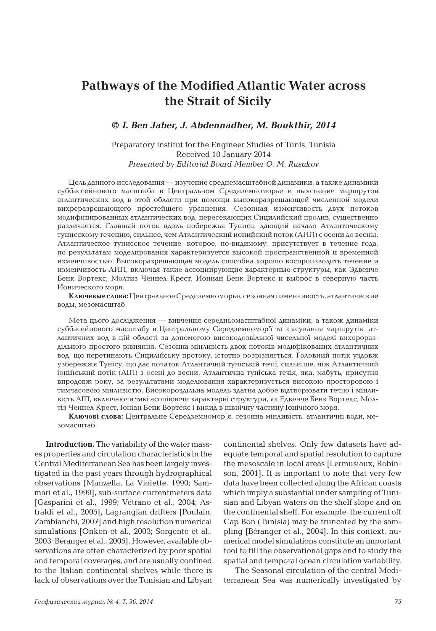## **Pathways of the Modified Atlantic Water across the Strait of Sicily**

## **©** *I. Ben Jaber, J. Abdennadher, M. Boukthir, 2014*

## Preparatory Institut for the Engineer Studies of Tunis, Tunisia Received 10 January 2014 *Presented by Editorial Board Member O. M. Rusakov*

Цель данного исследования — изучение среднемасштабной динамики, а также динамики суббассейнового масштаба в Центральном Средиземноморье и выяснение маршрутов атлантических вод в этой области при помощи высокоразрешающей численной модели вихреразрешающего простейшего уравнения. Сезонная изменчивость двух потоков модифицированных атлантических вод, пересекающих Сицилийский пролив, существенно различается. Главный поток вдоль побережья Туниса, дающий начало Атлантическому тунисскому течению, сильнее, чем Атлантический ионийский поток (АИП) с осени до весны. Атлантическое тунисское течение, которое, по-видимому, присутствует в течение года, по результатам моделирования характеризуется высокой пространственной и временной изменчивостью. Высокоразрешающая модель способна хорошо воспроизводить течение и изменчивость АИП, включая такие ассоциирующие характерные структуры, как Эдвенче Бенк Вортекс, Молтиз Ченнел Крест, Иониан Бенк Вортекс и выброс в северную часть Ионического моря.

**Ключевые слова:**Центральное Средиземноморье, сезонная изменчивость, атлантические воды, мезомасштаб.

Мета цього дослідження — вивчення середньомасштабної динаміки, а також динаміки суббасейнового масштабу в Центральному Середземномор'ї та з'ясування маршрутів атлантичних вод в цій області за допомогою високодозвільної чисельної моделі вихорораздільного простого рівняння. Сезонна мінливість двох потоків модифікованих атлантичних вод, що перетинають Сицилійську протоку, істотно розрізняється. Головний потік уздовж узбережжя Тунісу, що дає початок Атлантичній туніській течії, сильніше, ніж Атлантичний іонійський потік (АІП) з осені до весни. Атлантична туніська течія, яка, мабуть, присутня впродовж року, за результатами моделювання характеризується високою просторовою і тимчасовою мінливістю. Високороздільна модель здатна добре відтворювати течію і мінливість АІП, включаючи такі асоціюючи характерні структури, як Едвенче Бенк Вортекс, Молтіз Ченнел Крест, Іоніан Бенк Вортекс і викид в північну частину Іонічного моря.

**Ключові слова:** Центральне Середземномор'я, сезонна мінливість, атлантичні води, мезомасштаб.

**Introduction.** The variability of the water masses properties and circulation characteristics in the Central Mediterranean Sea has been largely investigated in the past years through hydrographical observations [Manzella, La Violette, 1990; Sammari et al., 1999], sub-surface currentmeters data [Gasparini et al., 1999; Vetrano et al., 2004; Astraldi et al., 2005], Lagrangian drifters [Poulain, Zambianchi, 2007] and high resolution numerical simulations [Onken et al., 2003; Sorgente et al., 2003; Béranger et al., 2005]. However, available observations are often characterized by poor spatial and temporal coverages, and are usually confined to the Italian continental shelves while there is lack of observations over the Tunisian and Libyan continental shelves. Only few datasets have adequate temporal and spatial resolution to capture the mesoscale in local areas [Lermusiaux, Robinson, 2001]. It is important to note that very few data have been collected along the African coasts which imply a substantial under sampling of Tunisian and Libyan waters on the shelf slope and on the continental shelf. For example, the current off Cap Bon (Tunisia) may be truncated by the sampling [Béranger et al., 2004]. In this context, numerical model simulations constitute an important tool to fill the observational gaps and to study the spatial and temporal ocean circulation variability.

The Seasonal circulation of the central Mediterranean Sea was numerically investigated by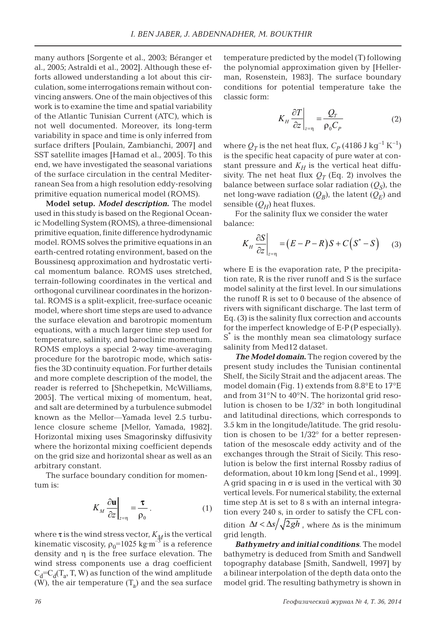many authors [Sorgente et al., 2003; Béranger et al., 2005; Astraldi et al., 2002]. Although these efforts allowed understanding a lot about this circulation, some interrogations remain without convincing answers. One of the main objectives of this work is to examine the time and spatial variability of the Atlantic Tunisian Current (ATC), which is not well documented. Moreover, its long-term variability in space and time is only inferred from surface drifters [Poulain, Zambianchi, 2007] and SST satellite images [Hamad et al., 2005]. To this end, we have investigated the seasonal variations of the surface circulation in the central Mediterranean Sea from a high resolution eddy-resolving primitive equation numerical model (ROMS).

**Model setup.** *Model description***.** The model used in this study is based on the Regional Oceanic Modelling System (ROMS), a three-dimensional primitive equation, finite difference hydrodynamic model. ROMS solves the primitive equations in an earth-centred rotating environment, based on the Boussinesq approximation and hydrostatic vertical momentum balance. ROMS uses stretched, terrain-following coordinates in the vertical and orthogonal curvilinear coordinates in the horizontal. ROMS is a split-explicit, free-surface oceanic model, where short time steps are used to advance the surface elevation and barotropic momentum equations, with a much larger time step used for temperature, salinity, and baroclinic momentum. ROMS employs a special 2-way time-averaging procedure for the barotropic mode, which satisfies the 3D continuity equation. For further details and more complete description of the model, the reader is referred to [Shchepetkin, McWilliams, 2005]. The vertical mixing of momentum, heat, and salt are determined by a turbulence submodel known as the Mellor—Yamada level 2.5 turbulence closure scheme [Mellor, Yamada, 1982]. Horizontal mixing uses Smagorinsky diffusivity where the horizontal mixing coefficient depends on the grid size and horizontal shear as well as an arbitrary constant.

The surface boundary condition for momentum is:

$$
K_M \frac{\partial \mathbf{u}}{\partial z}\bigg|_{z=\eta} = \frac{\tau}{\rho_0} \,. \tag{1}
$$

where **τ** is the wind stress vector,  $K_M$  is the vertical kinematic viscosity,  $\rho_0$ =1025 kg·m<sup>-3</sup> is a reference density and η is the free surface elevation. The wind stress components use a drag coefficient  $C_d = C_d(T_a, T, W)$  as function of the wind amplitude (W), the air temperature  $(T_a)$  and the sea surface

temperature predicted by the model (T) following the polynomial approximation given by [Hellerman, Rosenstein, 1983]. The surface boundary conditions for potential temperature take the classic form:

$$
K_H \frac{\partial T}{\partial z}\bigg|_{z=\eta} = \frac{Q_T}{\rho_0 C_P} \tag{2}
$$

where  $Q_T$  is the net heat flux,  $C_p$  (4186 J kg<sup>-1</sup> K<sup>-1</sup>) is the specific heat capacity of pure water at constant pressure and  $K_H$  is the vertical heat diffusivity. The net heat flux  $Q_T$  (Eq. 2) involves the balance between surface solar radiation  $(Q<sub>S</sub>)$ , the net long-wave radiation  $(Q_B)$ , the latent  $(Q_E)$  and sensible  $(Q_H)$  heat fluxes.

For the salinity flux we consider the water balance:

$$
K_H \frac{\partial S}{\partial z}\bigg|_{z=\eta} = (E - P - R)S + C(S^* - S) \qquad (3)
$$

where E is the evaporation rate, P the precipitation rate, R is the river runoff and S is the surface model salinity at the first level. In our simulations the runoff R is set to 0 because of the absence of rivers with significant discharge. The last term of Eq. (3) is the salinity flux correction and accounts for the imperfect knowledge of E-P (P especially). S\* is the monthly mean sea climatology surface salinity from Med12 dataset.

*The Model domain***.** The region covered by the present study includes the Tunisian continental Shelf, the Sicily Strait and the adjacent areas. The model domain (Fig. 1) extends from 8.8°E to 17°E and from 31°N to 40°N. The horizontal grid resolution is chosen to be 1/32° in both longitudinal and latitudinal directions, which corresponds to 3.5 km in the longitude/latitude. The grid resolution is chosen to be  $1/32^{\circ}$  for a better representation of the mesoscale eddy activity and of the exchanges through the Strait of Sicily. This resolution is below the first internal Rossby radius of deformation, about 10 km long [Send et al., 1999]. A grid spacing in  $\sigma$  is used in the vertical with 30 vertical levels. For numerical stability, the external time step  $\Delta t$  is set to 8 s with an internal integration every 240 s, in order to satisfy the CFL condition  $\Delta t < \Delta s / \sqrt{2gh}$ , where  $\Delta s$  is the minimum grid length.

*Bathymetry and initial conditions*. The model bathymetry is deduced from Smith and Sandwell topography database [Smith, Sandwell, 1997] by a bilinear interpolation of the depth data onto the model grid. The resulting bathymetry is shown in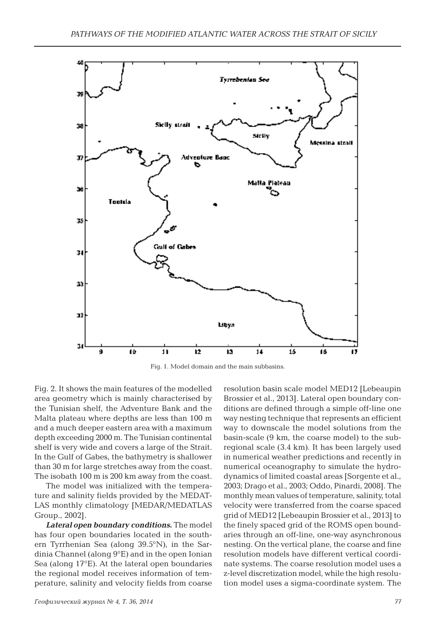

Fig. 1. Model domain and the main subbasins.

Fig. 2. It shows the main features of the modelled area geometry which is mainly characterised by the Tunisian shelf, the Adventure Bank and the Malta plateau where depths are less than 100 m and a much deeper eastern area with a maximum depth exceeding 2000 m. The Tunisian continental shelf is very wide and covers a large of the Strait. In the Gulf of Gabes, the bathymetry is shallower than 30 m for large stretches away from the coast. The isobath 100 m is 200 km away from the coast.

The model was initialized with the temperature and salinity fields provided by the MEDAT-LAS monthly climatology [MEDAR/MEDATLAS Group., 2002].

*Lateral open boundary conditions***.** The model has four open boundaries located in the southern Tyrrhenian Sea (along 39.5°N), in the Sardinia Channel (along 9°E) and in the open Ionian Sea (along 17°E). At the lateral open boundaries the regional model receives information of temperature, salinity and velocity fields from coarse

*Геофизический журнал № 4, Т. 36, 2014 77*

resolution basin scale model MED12 [Lebeaupin Brossier et al., 2013]. Lateral open boundary conditions are defined through a simple off-line one way nesting technique that represents an efficient way to downscale the model solutions from the basin-scale (9 km, the coarse model) to the subregional scale (3.4 km). It has been largely used in numerical weather predictions and recently in numerical oceanography to simulate the hydrodynamics of limited coastal areas [Sorgente et al., 2003; Drago et al., 2003; Oddo, Pinardi, 2008]. The monthly mean values of temperature, salinity, total velocity were transferred from the coarse spaced grid of MED12 [Lebeaupin Brossier et al., 2013] to the finely spaced grid of the ROMS open boundaries through an off-line, one-way asynchronous nesting. On the vertical plane, the coarse and fine resolution models have different vertical coordinate systems. The coarse resolution model uses a z-level discretization model, while the high resolution model uses a sigma-coordinate system. The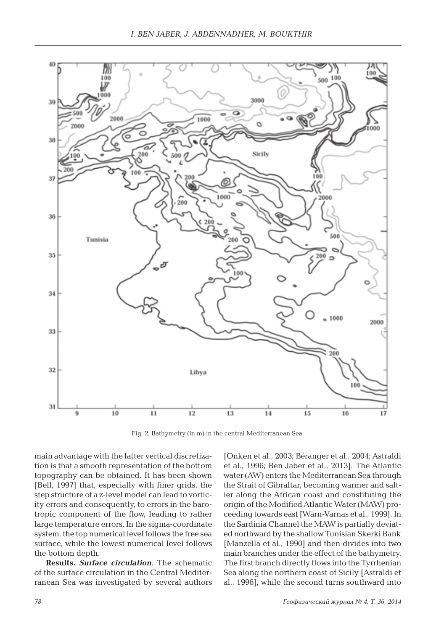

Fig. 2. Bathymetry (in m) in the central Mediterranean Sea.

main advantage with the latter vertical discretization is that a smooth representation of the bottom topography can be obtained. It has been shown [Bell, 1997] that, especially with finer grids, the step structure of a z-level model can lead to vorticity errors and consequently, to errors in the barotropic component of the flow, leading to rather large temperature errors. In the sigma-coordinate system, the top numerical level follows the free sea surface, while the lowest numerical level follows the bottom depth.

**Results.** *Surface circulation*. The schematic of the surface circulation in the Central Mediterranean Sea was investigated by several authors [Onken et al., 2003; Béranger et al., 2004; Astraldi et al., 1996; Ben Jaber et al., 2013]. The Atlantic water (AW) enters the Mediterranean Sea through the Strait of Gibraltar, becoming warmer and saltier along the African coast and constituting the origin of the Modified Atlantic Water (MAW) proceeding towards east [Warn-Varnas et al., 1999]. In the Sardinia Channel the MAW is partially deviated northward by the shallow Tunisian Skerki Bank [Manzella et al., 1990] and then divides into two main branches under the effect of the bathymetry. The first branch directly flows into the Tyrrhenian Sea along the northern coast of Sicily [Astraldi et al., 1996], while the second turns southward into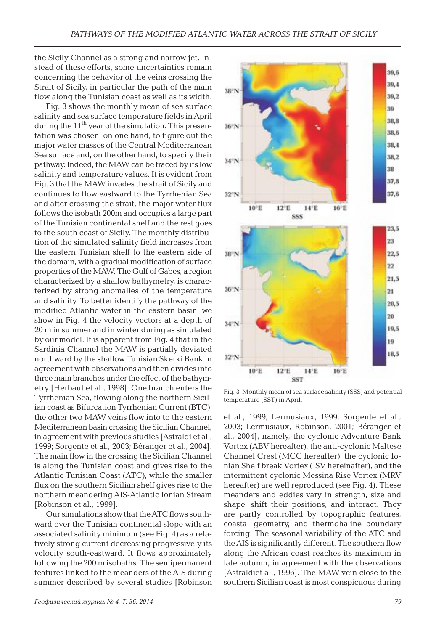the Sicily Channel as a strong and narrow jet. Instead of these efforts, some uncertainties remain concerning the behavior of the veins crossing the Strait of Sicily, in particular the path of the main flow along the Tunisian coast as well as its width.

Fig. 3 shows the monthly mean of sea surface salinity and sea surface temperature fields in April during the  $11<sup>th</sup>$  year of the simulation. This presentation was chosen, on one hand, to figure out the major water masses of the Central Mediterranean Sea surface and, on the other hand, to specify their pathway. Indeed, the MAW can be traced by its low salinity and temperature values. It is evident from Fig. 3 that the MAW invades the strait of Sicily and continues to flow eastward to the Tyrrhenian Sea and after crossing the strait, the major water flux follows the isobath 200m and occupies a large part of the Tunisian continental shelf and the rest goes to the south coast of Sicily. The monthly distribution of the simulated salinity field increases from the eastern Tunisian shelf to the eastern side of the domain, with a gradual modification of surface properties of the MAW. The Gulf of Gabes, a region characterized by a shallow bathymetry, is characterized by strong anomalies of the temperature and salinity. To better identify the pathway of the modified Atlantic water in the eastern basin, we show in Fig. 4 the velocity vectors at a depth of 20 m in summer and in winter during as simulated by our model. It is apparent from Fig. 4 that in the Sardinia Channel the MAW is partially deviated northward by the shallow Tunisian Skerki Bank in agreement with observations and then divides into three main branches under the effect of the bathymetry [Herbaut et al., 1998]. One branch enters the Tyrrhenian Sea, flowing along the northern Sicilian coast as Bifurcation Tyrrhenian Current (BTC); the other two MAW veins flow into to the eastern Mediterranean basin crossing the Sicilian Channel, in agreement with previous studies [Astraldi et al., 1999; Sorgente et al., 2003; Béranger et al., 2004]. The main flow in the crossing the Sicilian Channel is along the Tunisian coast and gives rise to the Atlantic Tunisian Coast (ATC), while the smaller flux on the southern Sicilian shelf gives rise to the northern meandering AIS-Atlantic Ionian Stream [Robinson et al., 1999].

Our simulations show that the ATC flows southward over the Tunisian continental slope with an associated salinity minimum (see Fig. 4) as a relatively strong current decreasing progressively its velocity south-eastward. It flows approximately following the 200 m isobaths. The semipermanent features linked to the meanders of the AIS during summer described by several studies [Robinson



Fig. 3. Monthly mean of sea surface salinity (SSS) and potential temperature (SST) in April.

et al., 1999; Lermusiaux, 1999; Sorgente et al., 2003; Lermusiaux, Robinson, 2001; Béranger et al., 2004], namely, the cyclonic Adventure Bank Vortex (ABV hereafter), the anti-cyclonic Maltese Channel Crest (MCC hereafter), the cyclonic Ionian Shelf break Vortex (ISV hereinafter), and the intermittent cyclonic Messina Rise Vortex (MRV hereafter) are well reproduced (see Fig. 4). These meanders and eddies vary in strength, size and shape, shift their positions, and interact. They are partly controlled by topographic features, coastal geometry, and thermohaline boundary forcing. The seasonal variability of the ATC and the AIS is significantly different. The southern flow along the African coast reaches its maximum in late autumn, in agreement with the observations [Astraldiet al., 1996]. The MAW vein close to the southern Sicilian coast is most conspicuous during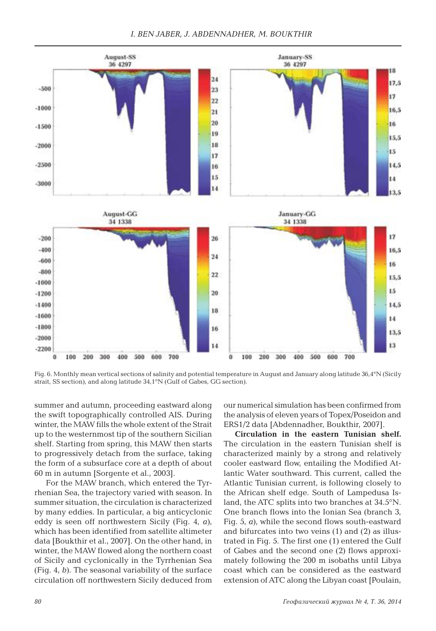

Fig. 6. Monthly mean vertical sections of salinity and potential temperature in August and January along latitude 36,4°N (Sicily strait, SS section), and along latitude 34,1°N (Gulf of Gabes, GG section).

summer and autumn, proceeding eastward along the swift topographically controlled AIS. During winter, the MAW fills the whole extent of the Strait up to the westernmost tip of the southern Sicilian shelf. Starting from spring, this MAW then starts to progressively detach from the surface, taking the form of a subsurface core at a depth of about 60 m in autumn [Sorgente et al., 2003].

For the MAW branch, which entered the Tyrrhenian Sea, the trajectory varied with season. In summer situation, the circulation is characterized by many eddies. In particular, a big anticyclonic eddy is seen off northwestern Sicily (Fig. 4, *a*), which has been identified from satellite altimeter data [Boukthir et al., 2007]. On the other hand, in winter, the MAW flowed along the northern coast of Sicily and cyclonically in the Tyrrhenian Sea (Fig. 4, *b*). The seasonal variability of the surface circulation off northwestern Sicily deduced from our numerical simulation has been confirmed from the analysis of eleven years of Topex/Poseidon and ERS1/2 data [Abdennadher, Boukthir, 2007].

**Circulation in the eastern Tunisian shelf.**  The circulation in the eastern Tunisian shelf is characterized mainly by a strong and relatively cooler eastward flow, entailing the Modified Atlantic Water southward. This current, called the Atlantic Tunisian current, is following closely to the African shelf edge. South of Lampedusa Island, the ATC splits into two branches at 34.5°N. One branch flows into the Ionian Sea (branch 3, Fig. 5, *a*), while the second flows south-eastward and bifurcates into two veins (1) and (2) as illustrated in Fig. 5. The first one (1) entered the Gulf of Gabes and the second one (2) flows approximately following the 200 m isobaths until Libya coast which can be considered as the eastward extension of ATC along the Libyan coast [Poulain,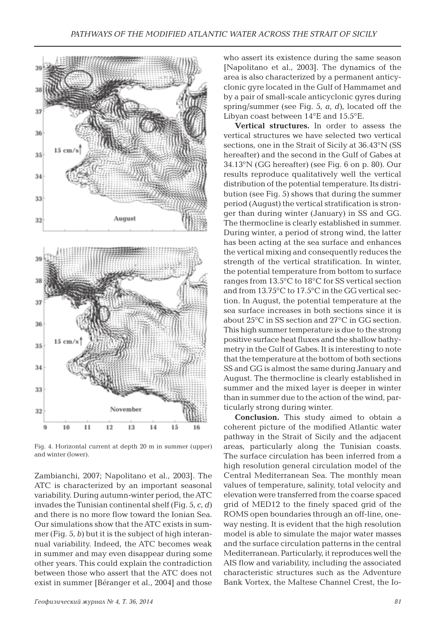

Fig. 4. Horizontal current at depth 20 m in summer (upper) and winter (lower).

Zambianchi, 2007; Napolitano et al., 2003]. The ATC is characterized by an important seasonal variability. During autumn-winter period, the ATC invades the Tunisian continental shelf (Fig. 5, *c*, *d*) and there is no more flow toward the Ionian Sea. Our simulations show that the ATC exists in summer (Fig. 5, *b*) but it is the subject of high interannual variability. Indeed, the ATC becomes weak in summer and may even disappear during some other years. This could explain the contradiction between those who assert that the ATC does not exist in summer [Béranger et al., 2004] and those who assert its existence during the same season [Napolitano et al., 2003]. The dynamics of the area is also characterized by a permanent anticyclonic gyre located in the Gulf of Hammamet and by a pair of small-scale anticyclonic gyres during spring/summer (see Fig. 5, *a*, *d*), located off the Libyan coast between 14°E and 15.5°E.

**Vertical structures.** In order to assess the vertical structures we have selected two vertical sections, one in the Strait of Sicily at 36.43°N (SS hereafter) and the second in the Gulf of Gabes at 34.13°N (GG hereafter) (see Fig. 6 on p. 80). Our results reproduce qualitatively well the vertical distribution of the potential temperature. Its distribution (see Fig. 5) shows that during the summer period (August) the vertical stratification is stronger than during winter (January) in SS and GG. The thermocline is clearly established in summer. During winter, a period of strong wind, the latter has been acting at the sea surface and enhances the vertical mixing and consequently reduces the strength of the vertical stratification. In winter, the potential temperature from bottom to surface ranges from 13.5°C to 18°C for SS vertical section and from 13.75°C to 17.5°C in the GG vertical section. In August, the potential temperature at the sea surface increases in both sections since it is about 25°C in SS section and 27°C in GG section. This high summer temperature is due to the strong positive surface heat fluxes and the shallow bathymetry in the Gulf of Gabes. It is interesting to note that the temperature at the bottom of both sections SS and GG is almost the same during January and August. The thermocline is clearly established in summer and the mixed layer is deeper in winter than in summer due to the action of the wind, particularly strong during winter.

**Conclusion.** This study aimed to obtain a coherent picture of the modified Atlantic water pathway in the Strait of Sicily and the adjacent areas, particularly along the Tunisian coasts. The surface circulation has been inferred from a high resolution general circulation model of the Central Mediterranean Sea. The monthly mean values of temperature, salinity, total velocity and elevation were transferred from the coarse spaced grid of MED12 to the finely spaced grid of the ROMS open boundaries through an off-line, oneway nesting. It is evident that the high resolution model is able to simulate the major water masses and the surface circulation patterns in the central Mediterranean. Particularly, it reproduces well the AIS flow and variability, including the associated characteristic structures such as the Adventure Bank Vortex, the Maltese Channel Crest, the Io-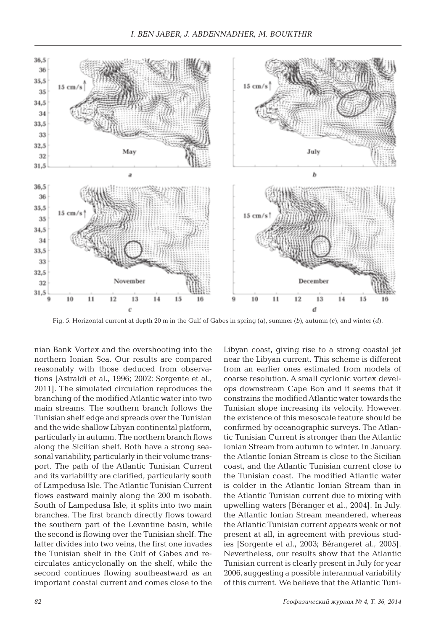

Fig. 5. Horizontal current at depth 20 m in the Gulf of Gabes in spring (*a*), summer (*b*), autumn (*c*), and winter (*d*).

nian Bank Vortex and the overshooting into the northern Ionian Sea. Our results are compared reasonably with those deduced from observations [Astraldi et al., 1996; 2002; Sorgente et al., 2011]. The simulated circulation reproduces the branching of the modified Atlantic water into two main streams. The southern branch follows the Tunisian shelf edge and spreads over the Tunisian and the wide shallow Libyan continental platform, particularly in autumn. The northern branch flows along the Sicilian shelf. Both have a strong seasonal variability, particularly in their volume transport. The path of the Atlantic Tunisian Current and its variability are clarified, particularly south of Lampedusa Isle. The Atlantic Tunisian Current flows eastward mainly along the 200 m isobath. South of Lampedusa Isle, it splits into two main branches. The first branch directly flows toward the southern part of the Levantine basin, while the second is flowing over the Tunisian shelf. The latter divides into two veins, the first one invades the Tunisian shelf in the Gulf of Gabes and recirculates anticyclonally on the shelf, while the second continues flowing southeastward as an important coastal current and comes close to the Libyan coast, giving rise to a strong coastal jet near the Libyan current. This scheme is different from an earlier ones estimated from models of coarse resolution. A small cyclonic vortex develops downstream Cape Bon and it seems that it constrains the modified Atlantic water towards the Tunisian slope increasing its velocity. However, the existence of this mesoscale feature should be confirmed by oceanographic surveys. The Atlantic Tunisian Current is stronger than the Atlantic Ionian Stream from autumn to winter. In January, the Atlantic Ionian Stream is close to the Sicilian coast, and the Atlantic Tunisian current close to the Tunisian coast. The modified Atlantic water is colder in the Atlantic Ionian Stream than in the Atlantic Tunisian current due to mixing with upwelling waters [Béranger et al., 2004]. In July, the Atlantic Ionian Stream meandered, whereas the Atlantic Tunisian current appears weak or not present at all, in agreement with previous studies [Sorgente et al., 2003; Bérangeret al., 2005]. Nevertheless, our results show that the Atlantic Tunisian current is clearly present in July for year 2006, suggesting a possible interannual variability of this current. We believe that the Atlantic Tuni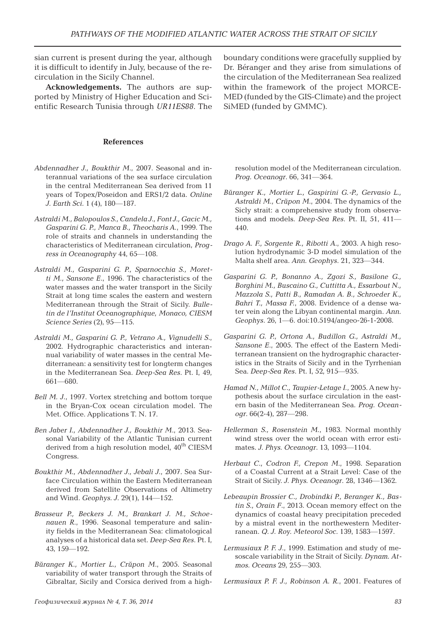sian current is present during the year, although it is difficult to identify in July, because of the recirculation in the Sicily Channel.

**Acknowledgements.** The authors are supported by Ministry of Higher Education and Scientific Research Tunisia through *UR11ES88*. The

## **References**

- *Abdennadher J., Boukthir M*., 2007. Seasonal and interannual variations of the sea surface circulation in the central Mediterranean Sea derived from 11 years of Topex/Poseidon and ERS1/2 data. *Online J. Earth Sci.* 1 (4), 180—187.
- *Astraldi M., Balopoulos S., Candela J., Font J., Gacic M., Gasparini G. P., Manca B., Theocharis A.*, 1999. The role of straits and channels in understanding the characteristics of Mediterranean circulation, *Progress in Oceanography* 44, 65—108.
- *Astraldi M., Gasparini G. P., Sparnocchia S., Moretti M., Sansone E*., 1996. The characteristics of the water masses and the water transport in the Sicily Strait at long time scales the eastern and western Mediterranean through the Strait of Sicily. *Bulletin de l'Institut Oceanographique, Monaco, CIESM Science Series* (2), 95—115.
- *Astraldi M., Gasparini G. P., Vetrano A., Vignudelli S*., 2002. Hydrographic characteristics and interannual variability of water masses in the central Mediterranean: a sensitivity test for longterm changes in the Mediterranean Sea. *Deep-Sea Res*. Pt. I, 49, 661—680.
- *Bell M. J*., 1997. Vortex stretching and bottom torque in the Bryan-Cox ocean circulation model. The Met. Office. Applications T. N. 17.
- *Ben Jaber I., Abdennadher J., Boukthir M*., 2013. Seasonal Variability of the Atlantic Tunisian current derived from a high resolution model,  $40<sup>th</sup> CIESM$ Congress.
- *Boukthir M., Abdennadher J., Jebali J*., 2007. Sea Surface Circulation within the Eastern Mediterranean derived from Satellite Observations of Altimetry and Wind. *Geophys. J*. 29(1), 144—152.
- *Brasseur P., Beckers J. M., Brankart J. M., Schoenauen R*., 1996. Seasonal temperature and salinity fields in the Mediterranean Sea: climatological analyses of a historical data set. *Deep-Sea Res*. Pt. I, 43, 159—192.
- *Bйranger K., Mortier L., Crйpon M*., 2005. Seasonal variability of water transport through the Straits of Gibraltar, Sicily and Corsica derived from a high-

boundary conditions were gracefully supplied by Dr. Béranger and they arise from simulations of the circulation of the Mediterranean Sea realized within the framework of the project MORCE-MED (funded by the GIS-Climate) and the project SiMED (funded by GMMC).

resolution model of the Mediterranean circulation. *Prog. Oceanogr*. 66, 341—364.

- *Bйranger K., Mortier L., Gaspirini G.-P., Gervasio L., Astraldi M., Crйpon M*., 2004. The dynamics of the Sicly strait: a comprehensive study from observations and models. *Deep-Sea Res*. Pt. II, 51, 411— 440.
- *Drago A. F., Sorgente R., Ribotti A*., 2003. A high resolution hydrodynamic 3-D model simulation of the Malta shelf area. *Ann. Geophys*. 21, 323—344.
- *Gasparini G. P., Bonanno A., Zgozi S., Basilone G., Borghini M., Buscaino G., Cuttitta A., Essarbout N., Mazzola S., Patti B., Ramadan A. B., Schroeder K., Bahri T., Massa F.*, 2008. Evidence of a dense water vein along the Libyan continental margin. *Ann. Geophys*. 26, 1—6. doi:10.5194/angeo-26-1-2008.
- *Gasparini G. P., Ortona A., Budillon G., Astraldi M., Sansone E*., 2005. The effect of the Eastern Mediterranean transient on the hydrographic characteristics in the Straits of Sicily and in the Tyrrhenian Sea. *Deep-Sea Res*. Pt. I, 52, 915—935.
- *Hamad N., Millot C., Taupier-Letage I.*, 2005. A new hypothesis about the surface circulation in the eastern basin of the Mediterranean Sea. *Prog. Oceanogr*. 66(2-4), 287—298.
- *Hellerman S., Rosenstein M.*, 1983. Normal monthly wind stress over the world ocean with error estimates. *J. Phys. Oceanogr*. 13, 1093—1104.
- *Herbaut C., Codron F., Crepon M*., 1998. Separation of a Coastal Current at a Strait Level: Case of the Strait of Sicily. *J. Phys. Oceanogr*. 28, 1346—1362.
- *Lebeaupin Brossier C., Drobindki P., Beranger K., Bastin S., Orain F*., 2013. Ocean memory effect on the dynamics of coastal heavy precipitation preceded by a mistral event in the northewestern Mediterranean. *Q. J. Roy. Meteorol Soc*. 139, 1583—1597.
- *Lermusiaux P. F. J*., 1999. Estimation and study of mesoscale variability in the Strait of Sicily. *Dynam. Atmos. Oceans* 29, 255—303.
- *Lermusiaux P. F. J., Robinson A. R.*, 2001. Features of